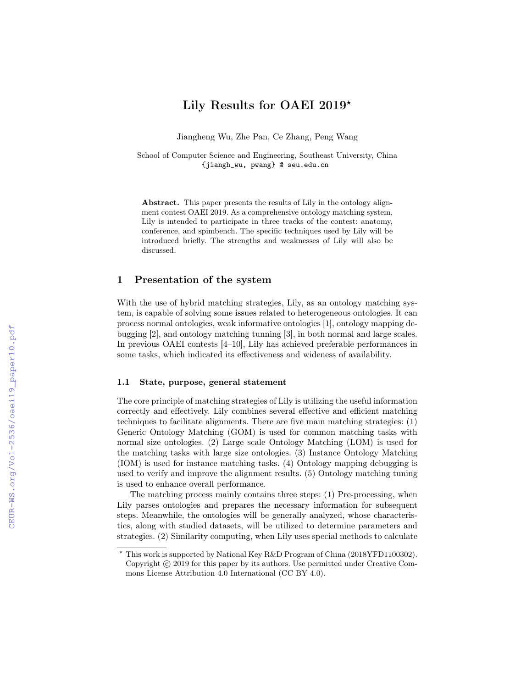# Lily Results for OAEI 2019 $^{\star}$

Jiangheng Wu, Zhe Pan, Ce Zhang, Peng Wang

School of Computer Science and Engineering, Southeast University, China {jiangh\_wu, pwang} @ seu.edu.cn

Abstract. This paper presents the results of Lily in the ontology alignment contest OAEI 2019. As a comprehensive ontology matching system, Lily is intended to participate in three tracks of the contest: anatomy, conference, and spimbench. The specific techniques used by Lily will be introduced briefly. The strengths and weaknesses of Lily will also be discussed.

# 1 Presentation of the system

With the use of hybrid matching strategies, Lily, as an ontology matching system, is capable of solving some issues related to heterogeneous ontologies. It can process normal ontologies, weak informative ontologies [1], ontology mapping debugging [2], and ontology matching tunning [3], in both normal and large scales. In previous OAEI contests [4–10], Lily has achieved preferable performances in some tasks, which indicated its effectiveness and wideness of availability.

#### 1.1 State, purpose, general statement

The core principle of matching strategies of Lily is utilizing the useful information correctly and effectively. Lily combines several effective and efficient matching techniques to facilitate alignments. There are five main matching strategies: (1) Generic Ontology Matching (GOM) is used for common matching tasks with normal size ontologies. (2) Large scale Ontology Matching (LOM) is used for the matching tasks with large size ontologies. (3) Instance Ontology Matching (IOM) is used for instance matching tasks. (4) Ontology mapping debugging is used to verify and improve the alignment results. (5) Ontology matching tuning is used to enhance overall performance.

The matching process mainly contains three steps: (1) Pre-processing, when Lily parses ontologies and prepares the necessary information for subsequent steps. Meanwhile, the ontologies will be generally analyzed, whose characteristics, along with studied datasets, will be utilized to determine parameters and strategies. (2) Similarity computing, when Lily uses special methods to calculate

<sup>?</sup> This work is supported by National Key R&D Program of China (2018YFD1100302). Copyright  $\odot$  2019 for this paper by its authors. Use permitted under Creative Commons License Attribution 4.0 International (CC BY 4.0).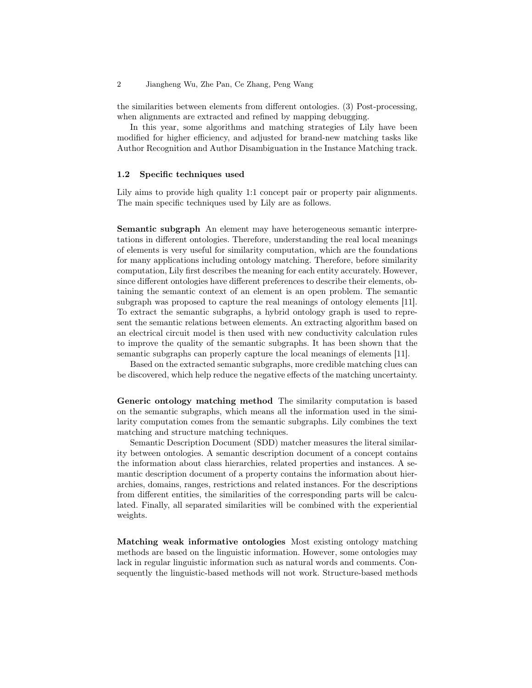2 Jiangheng Wu, Zhe Pan, Ce Zhang, Peng Wang

the similarities between elements from different ontologies. (3) Post-processing, when alignments are extracted and refined by mapping debugging.

In this year, some algorithms and matching strategies of Lily have been modified for higher efficiency, and adjusted for brand-new matching tasks like Author Recognition and Author Disambiguation in the Instance Matching track.

#### 1.2 Specific techniques used

Lily aims to provide high quality 1:1 concept pair or property pair alignments. The main specific techniques used by Lily are as follows.

Semantic subgraph An element may have heterogeneous semantic interpretations in different ontologies. Therefore, understanding the real local meanings of elements is very useful for similarity computation, which are the foundations for many applications including ontology matching. Therefore, before similarity computation, Lily first describes the meaning for each entity accurately. However, since different ontologies have different preferences to describe their elements, obtaining the semantic context of an element is an open problem. The semantic subgraph was proposed to capture the real meanings of ontology elements [11]. To extract the semantic subgraphs, a hybrid ontology graph is used to represent the semantic relations between elements. An extracting algorithm based on an electrical circuit model is then used with new conductivity calculation rules to improve the quality of the semantic subgraphs. It has been shown that the semantic subgraphs can properly capture the local meanings of elements [11].

Based on the extracted semantic subgraphs, more credible matching clues can be discovered, which help reduce the negative effects of the matching uncertainty.

Generic ontology matching method The similarity computation is based on the semantic subgraphs, which means all the information used in the similarity computation comes from the semantic subgraphs. Lily combines the text matching and structure matching techniques.

Semantic Description Document (SDD) matcher measures the literal similarity between ontologies. A semantic description document of a concept contains the information about class hierarchies, related properties and instances. A semantic description document of a property contains the information about hierarchies, domains, ranges, restrictions and related instances. For the descriptions from different entities, the similarities of the corresponding parts will be calculated. Finally, all separated similarities will be combined with the experiential weights.

Matching weak informative ontologies Most existing ontology matching methods are based on the linguistic information. However, some ontologies may lack in regular linguistic information such as natural words and comments. Consequently the linguistic-based methods will not work. Structure-based methods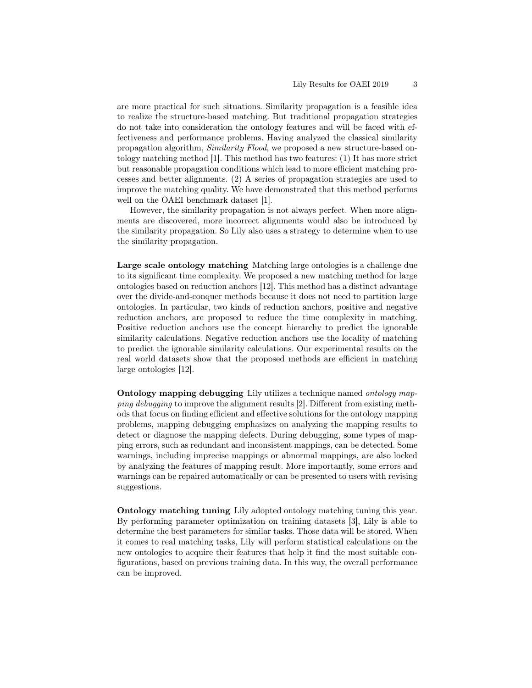are more practical for such situations. Similarity propagation is a feasible idea to realize the structure-based matching. But traditional propagation strategies do not take into consideration the ontology features and will be faced with effectiveness and performance problems. Having analyzed the classical similarity propagation algorithm, Similarity Flood, we proposed a new structure-based ontology matching method [1]. This method has two features: (1) It has more strict but reasonable propagation conditions which lead to more efficient matching processes and better alignments. (2) A series of propagation strategies are used to improve the matching quality. We have demonstrated that this method performs well on the OAEI benchmark dataset [1].

However, the similarity propagation is not always perfect. When more alignments are discovered, more incorrect alignments would also be introduced by the similarity propagation. So Lily also uses a strategy to determine when to use the similarity propagation.

Large scale ontology matching Matching large ontologies is a challenge due to its significant time complexity. We proposed a new matching method for large ontologies based on reduction anchors [12]. This method has a distinct advantage over the divide-and-conquer methods because it does not need to partition large ontologies. In particular, two kinds of reduction anchors, positive and negative reduction anchors, are proposed to reduce the time complexity in matching. Positive reduction anchors use the concept hierarchy to predict the ignorable similarity calculations. Negative reduction anchors use the locality of matching to predict the ignorable similarity calculations. Our experimental results on the real world datasets show that the proposed methods are efficient in matching large ontologies [12].

Ontology mapping debugging Lily utilizes a technique named ontology mapping debugging to improve the alignment results [2]. Different from existing methods that focus on finding efficient and effective solutions for the ontology mapping problems, mapping debugging emphasizes on analyzing the mapping results to detect or diagnose the mapping defects. During debugging, some types of mapping errors, such as redundant and inconsistent mappings, can be detected. Some warnings, including imprecise mappings or abnormal mappings, are also locked by analyzing the features of mapping result. More importantly, some errors and warnings can be repaired automatically or can be presented to users with revising suggestions.

Ontology matching tuning Lily adopted ontology matching tuning this year. By performing parameter optimization on training datasets [3], Lily is able to determine the best parameters for similar tasks. Those data will be stored. When it comes to real matching tasks, Lily will perform statistical calculations on the new ontologies to acquire their features that help it find the most suitable configurations, based on previous training data. In this way, the overall performance can be improved.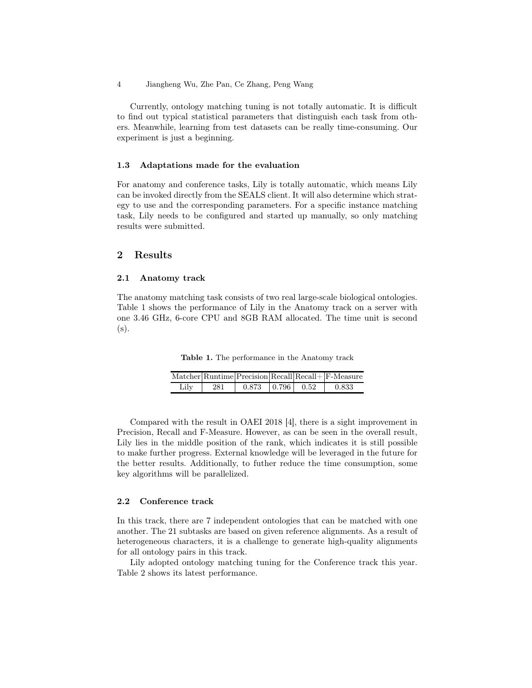4 Jiangheng Wu, Zhe Pan, Ce Zhang, Peng Wang

Currently, ontology matching tuning is not totally automatic. It is difficult to find out typical statistical parameters that distinguish each task from others. Meanwhile, learning from test datasets can be really time-consuming. Our experiment is just a beginning.

#### 1.3 Adaptations made for the evaluation

For anatomy and conference tasks, Lily is totally automatic, which means Lily can be invoked directly from the SEALS client. It will also determine which strategy to use and the corresponding parameters. For a specific instance matching task, Lily needs to be configured and started up manually, so only matching results were submitted.

### 2 Results

#### 2.1 Anatomy track

The anatomy matching task consists of two real large-scale biological ontologies. Table 1 shows the performance of Lily in the Anatomy track on a server with one 3.46 GHz, 6-core CPU and 8GB RAM allocated. The time unit is second (s).

Table 1. The performance in the Anatomy track

|      |     |       |                       |      | $Matcher  RuntimeException Recall Recall  F-Measure $ |
|------|-----|-------|-----------------------|------|-------------------------------------------------------|
| Lilv | 281 | 0.873 | $\pm 0.796 \pm 0.000$ | 0.52 | 0.833                                                 |

Compared with the result in OAEI 2018 [4], there is a sight improvement in Precision, Recall and F-Measure. However, as can be seen in the overall result, Lily lies in the middle position of the rank, which indicates it is still possible to make further progress. External knowledge will be leveraged in the future for the better results. Additionally, to futher reduce the time consumption, some key algorithms will be parallelized.

#### 2.2 Conference track

In this track, there are 7 independent ontologies that can be matched with one another. The 21 subtasks are based on given reference alignments. As a result of heterogeneous characters, it is a challenge to generate high-quality alignments for all ontology pairs in this track.

Lily adopted ontology matching tuning for the Conference track this year. Table 2 shows its latest performance.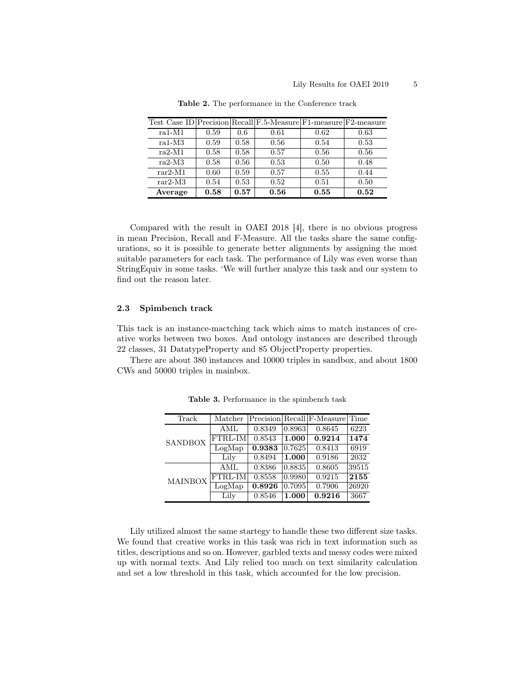| Test Case ID Precision Recall F.5-Measure F1-measure F2-measure |      |      |      |      |      |
|-----------------------------------------------------------------|------|------|------|------|------|
| $ra1-M1$                                                        | 0.59 | 0.6  | 0.61 | 0.62 | 0.63 |
| $ra1-M3$                                                        | 0.59 | 0.58 | 0.56 | 0.54 | 0.53 |
| $ra2-M1$                                                        | 0.58 | 0.58 | 0.57 | 0.56 | 0.56 |
| $ra2-M3$                                                        | 0.58 | 0.56 | 0.53 | 0.50 | 0.48 |
| $rar2-M1$                                                       | 0.60 | 0.59 | 0.57 | 0.55 | 0.44 |
| $rar2-M3$                                                       | 0.54 | 0.53 | 0.52 | 0.51 | 0.50 |
| Average                                                         | 0.58 | 0.57 | 0.56 | 0.55 | 0.52 |

Table 2. The performance in the Conference track

Compared with the result in OAEI 2018 [4], there is no obvious progress in mean Precision, Recall and F-Measure. All the tasks share the same configurations, so it is possible to generate better alignments by assigning the most suitable parameters for each task. The performance of Lily was even worse than StringEquiv in some tasks. 'We will further analyze this task and our system to find out the reason later.

#### 2.3 Spimbench track

This tack is an instance-mactching tack which aims to match instances of creative works between two boxes. And ontology instances are described through 22 classes, 31 DatatypeProperty and 85 ObjectProperty properties.

There are about 380 instances and 10000 triples in sandbox, and about 1800 CWs and 50000 triples in mainbox.

| Track          | Matcher |        |        | $ Precision Recall F-Measure $ | Time  |
|----------------|---------|--------|--------|--------------------------------|-------|
| <b>SANDBOX</b> | AML     | 0.8349 | 0.8963 | 0.8645                         | 6223  |
|                | FTRL-IM | 0.8543 | 1.000  | 0.9214                         | 1474  |
|                | LogMap  | 0.9383 | 0.7625 | 0.8413                         | 6919  |
|                | Lily    | 0.8494 | 1.000  | 0.9186                         | 2032  |
| <b>MAINBOX</b> | AML     | 0.8386 | 0.8835 | 0.8605                         | 39515 |
|                | FTRL-IM | 0.8558 | 0.9980 | 0.9215                         | 2155  |
|                | LogMap  | 0.8926 | 0.7095 | 0.7906                         | 26920 |
|                | Lily    | 0.8546 | 1.000  | 0.9216                         | 3667  |

Table 3. Performance in the spimbench task

Lily utilized almost the same startegy to handle these two different size tasks. We found that creative works in this task was rich in text information such as titles, descriptions and so on. However, garbled texts and messy codes were mixed up with normal texts. And Lily relied too much on text similarity calculation and set a low threshold in this task, which accounted for the low precision.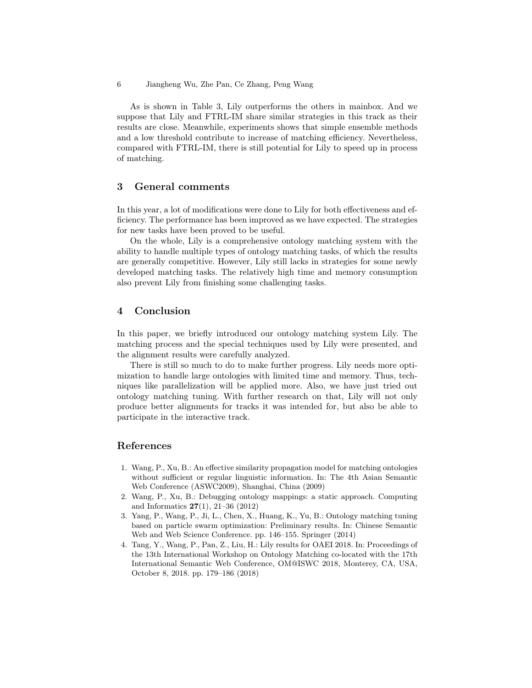6 Jiangheng Wu, Zhe Pan, Ce Zhang, Peng Wang

As is shown in Table 3, Lily outperforms the others in mainbox. And we suppose that Lily and FTRL-IM share similar strategies in this track as their results are close. Meanwhile, experiments shows that simple ensemble methods and a low threshold contribute to increase of matching efficiency. Nevertheless, compared with FTRL-IM, there is still potential for Lily to speed up in process of matching.

# 3 General comments

In this year, a lot of modifications were done to Lily for both effectiveness and efficiency. The performance has been improved as we have expected. The strategies for new tasks have been proved to be useful.

On the whole, Lily is a comprehensive ontology matching system with the ability to handle multiple types of ontology matching tasks, of which the results are generally competitive. However, Lily still lacks in strategies for some newly developed matching tasks. The relatively high time and memory consumption also prevent Lily from finishing some challenging tasks.

# 4 Conclusion

In this paper, we briefly introduced our ontology matching system Lily. The matching process and the special techniques used by Lily were presented, and the alignment results were carefully analyzed.

There is still so much to do to make further progress. Lily needs more optimization to handle large ontologies with limited time and memory. Thus, techniques like parallelization will be applied more. Also, we have just tried out ontology matching tuning. With further research on that, Lily will not only produce better alignments for tracks it was intended for, but also be able to participate in the interactive track.

# References

- 1. Wang, P., Xu, B.: An effective similarity propagation model for matching ontologies without sufficient or regular linguistic information. In: The 4th Asian Semantic Web Conference (ASWC2009), Shanghai, China (2009)
- 2. Wang, P., Xu, B.: Debugging ontology mappings: a static approach. Computing and Informatics 27(1), 21–36 (2012)
- 3. Yang, P., Wang, P., Ji, L., Chen, X., Huang, K., Yu, B.: Ontology matching tuning based on particle swarm optimization: Preliminary results. In: Chinese Semantic Web and Web Science Conference. pp. 146–155. Springer (2014)
- 4. Tang, Y., Wang, P., Pan, Z., Liu, H.: Lily results for OAEI 2018. In: Proceedings of the 13th International Workshop on Ontology Matching co-located with the 17th International Semantic Web Conference, OM@ISWC 2018, Monterey, CA, USA, October 8, 2018. pp. 179–186 (2018)